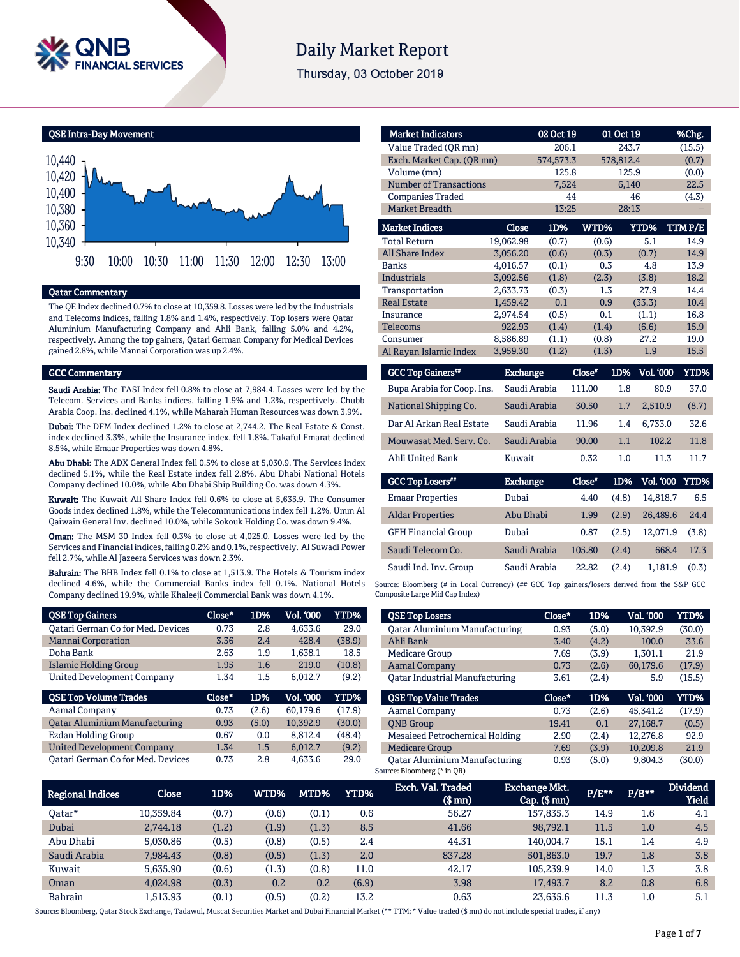

# **Daily Market Report**

Thursday, 03 October 2019

QSE Intra-Day Movement



### Qatar Commentary

The QE Index declined 0.7% to close at 10,359.8. Losses were led by the Industrials and Telecoms indices, falling 1.8% and 1.4%, respectively. Top losers were Qatar Aluminium Manufacturing Company and Ahli Bank, falling 5.0% and 4.2%, respectively. Among the top gainers, Qatari German Company for Medical Devices gained 2.8%, while Mannai Corporation was up 2.4%.

#### GCC Commentary

Saudi Arabia: The TASI Index fell 0.8% to close at 7,984.4. Losses were led by the Telecom. Services and Banks indices, falling 1.9% and 1.2%, respectively. Chubb Arabia Coop. Ins. declined 4.1%, while Maharah Human Resources was down 3.9%.

Dubai: The DFM Index declined 1.2% to close at 2,744.2. The Real Estate & Const. index declined 3.3%, while the Insurance index, fell 1.8%. Takaful Emarat declined 8.5%, while Emaar Properties was down 4.8%.

Abu Dhabi: The ADX General Index fell 0.5% to close at 5,030.9. The Services index declined 5.1%, while the Real Estate index fell 2.8%. Abu Dhabi National Hotels Company declined 10.0%, while Abu Dhabi Ship Building Co. was down 4.3%.

Kuwait: The Kuwait All Share Index fell 0.6% to close at 5,635.9. The Consumer Goods index declined 1.8%, while the Telecommunications index fell 1.2%. Umm Al Qaiwain General Inv. declined 10.0%, while Sokouk Holding Co. was down 9.4%.

Oman: The MSM 30 Index fell 0.3% to close at 4,025.0. Losses were led by the Services and Financial indices, falling 0.2% and 0.1%, respectively. Al Suwadi Power fell 2.7%, while Al Jazeera Services was down 2.3%.

Bahrain: The BHB Index fell 0.1% to close at 1,513.9. The Hotels & Tourism index declined 4.6%, while the Commercial Banks index fell 0.1%. National Hotels Company declined 19.9%, while Khaleeji Commercial Bank was down 4.1%.

| <b>QSE Top Gainers</b>                   | Close* | 1D%   | Vol. '000 | <b>YTD%</b> |
|------------------------------------------|--------|-------|-----------|-------------|
| <b>Qatari German Co for Med. Devices</b> | 0.73   | 2.8   | 4.633.6   | 29.0        |
| <b>Mannai Corporation</b>                | 3.36   | 2.4   | 428.4     | (38.9)      |
| Doha Bank                                | 2.63   | 1.9   | 1.638.1   | 18.5        |
| Islamic Holding Group                    | 1.95   | 1.6   | 219.0     | (10.8)      |
| <b>United Development Company</b>        | 1.34   | 1.5   | 6.012.7   | (9.2)       |
|                                          |        |       |           |             |
| <b>QSE Top Volume Trades</b>             | Close* | 1D%   | Vol. '000 | YTD%        |
| Aamal Company                            | 0.73   | (2.6) | 60.179.6  | (17.9)      |
| <b>Qatar Aluminium Manufacturing</b>     | 0.93   | (5.0) | 10.392.9  | (30.0)      |
| <b>Ezdan Holding Group</b>               | 0.67   | 0.0   | 8.812.4   | (48.4)      |
| <b>United Development Company</b>        | 1.34   | 1.5   | 6.012.7   | (9.2)       |

| <b>Market Indicators</b>      |                 | 02 Oct 19 |        | 01 Oct 19               | %Chg.       |
|-------------------------------|-----------------|-----------|--------|-------------------------|-------------|
| Value Traded (OR mn)          |                 | 206.1     |        | 243.7                   | (15.5)      |
| Exch. Market Cap. (QR mn)     |                 | 574,573.3 |        | 578,812.4               | (0.7)       |
| Volume (mn)                   |                 | 125.8     |        | 125.9                   | (0.0)       |
| <b>Number of Transactions</b> |                 | 7,524     |        | 6,140                   | 22.5        |
| <b>Companies Traded</b>       |                 | 44        |        | 46                      | (4.3)       |
| <b>Market Breadth</b>         |                 | 13:25     |        | 28:13                   |             |
| <b>Market Indices</b>         | Close           | 1D%       | WTD%   | YTD%                    | TTMP/E      |
| <b>Total Return</b>           | 19,062.98       | (0.7)     | (0.6)  | 5.1                     | 14.9        |
| <b>All Share Index</b>        | 3,056.20        | (0.6)     | (0.3)  | (0.7)                   | 14.9        |
| <b>Banks</b>                  | 4,016.57        | (0.1)     | 0.3    | 4.8                     | 13.9        |
| <b>Industrials</b>            | 3,092.56        | (1.8)     | (2.3)  | (3.8)                   | 18.2        |
| Transportation                | 2,633.73        | (0.3)     | 1.3    | 27.9                    | 14.4        |
| <b>Real Estate</b>            | 1,459.42        | 0.1       | 0.9    | (33.3)                  | 10.4        |
| Insurance                     | 2,974.54        | (0.5)     | 0.1    | (1.1)                   | 16.8        |
| Telecoms                      | 922.93          | (1.4)     | (1.4)  | (6.6)                   | 15.9        |
| Consumer                      | 8,586.89        | (1.1)     | (0.8)  | 27.2                    | 19.0        |
| Al Rayan Islamic Index        | 3,959.30        | (1.2)     | (1.3)  | 1.9                     | 15.5        |
| <b>GCC Top Gainers</b> **     | <b>Exchange</b> |           | Close" | <b>Vol. '000</b><br>1D% | <b>YTD%</b> |

| <b>GCC 10D Gainers""</b>            | Exchange        | Close" | LD%   | VOL 'UUU              | Y I D% |
|-------------------------------------|-----------------|--------|-------|-----------------------|--------|
| Bupa Arabia for Coop. Ins.          | Saudi Arabia    | 111.00 | 1.8   | 80.9                  | 37.0   |
| National Shipping Co.               | Saudi Arabia    | 30.50  | 1.7   | 2,510.9               | (8.7)  |
| Dar Al Arkan Real Estate            | Saudi Arabia    | 11.96  | 1.4   | 6.733.0               | 32.6   |
| Mouwasat Med. Serv. Co.             | Saudi Arabia    | 90.00  | 1.1   | 102.2                 | 11.8   |
| Ahli United Bank                    | Kuwait          | 0.32   | 1.0   | 11.3                  | 11.7   |
|                                     |                 |        |       |                       |        |
|                                     |                 |        |       |                       |        |
| <b>GCC Top Losers</b> <sup>##</sup> | <b>Exchange</b> | Close* | 1D%   | <b>Vol. '000 YTD%</b> |        |
| <b>Emaar Properties</b>             | Dubai           | 4.40   | (4.8) | 14.818.7              | 6.5    |
| <b>Aldar Properties</b>             | Abu Dhabi       | 1.99   | (2.9) | 26,489.6              | 24.4   |
| <b>GFH Financial Group</b>          | Dubai           | 0.87   | (2.5) | 12.071.9              | (3.8)  |

Source: Bloomberg (# in Local Currency) (## GCC Top gainers/losers derived from the S&P GCC Composite Large Mid Cap Index)

Saudi Ind. Inv. Group Saudi Arabia 22.82 (2.4) 1,181.9 (0.3)

| <b>QSE Top Losers</b>                 | Close* | 1D%   | Vol. '000 | <b>YTD%</b> |
|---------------------------------------|--------|-------|-----------|-------------|
| <b>Qatar Aluminium Manufacturing</b>  | 0.93   | (5.0) | 10.392.9  | (30.0)      |
| Ahli Bank                             | 3.40   | (4.2) | 100.0     | 33.6        |
| Medicare Group                        | 7.69   | (3.9) | 1.301.1   | 21.9        |
| <b>Aamal Company</b>                  | 0.73   | (2.6) | 60.179.6  | (17.9)      |
| <b>Oatar Industrial Manufacturing</b> | 3.61   | (2.4) | 5.9       | (15.5)      |
|                                       |        |       |           |             |
| <b>OSE Top Value Trades</b>           | Close* | 1D%   | Val. '000 | <b>YTD%</b> |
| Aamal Company                         | 0.73   | (2.6) | 45.341.2  | (17.9)      |
| <b>ONB</b> Group                      | 19.41  | 0.1   | 27.168.7  | (0.5)       |
| Mesaieed Petrochemical Holding        | 2.90   | (2.4) | 12.276.8  | 92.9        |
| <b>Medicare Group</b>                 | 7.69   | (3.9) | 10,209.8  | 21.9        |

| <b>Regional Indices</b> | Close     | 1D%   | <b>WTD%</b> | MTD%  | YTD%  | Exch. Val. Traded<br>(\$ mn) | <b>Exchange Mkt.</b><br>$Cap.$ (\$ mn) | $P/E***$ | $P/B**$ | <b>Dividend</b><br><b>Yield</b> |
|-------------------------|-----------|-------|-------------|-------|-------|------------------------------|----------------------------------------|----------|---------|---------------------------------|
| Oatar*                  | 10,359.84 | (0.7) | (0.6)       | (0.1) | 0.6   | 56.27                        | 157,835.3                              | 14.9     | 1.6     | 4.1                             |
| Dubai                   | 2.744.18  | (1.2) | (1.9)       | (1.3) | 8.5   | 41.66                        | 98.792.1                               | 11.5     | 1.0     | 4.5                             |
| Abu Dhabi               | 5.030.86  | (0.5) | (0.8)       | (0.5) | 2.4   | 44.31                        | 140.004.7                              | 15.1     | 1.4     | 4.9                             |
| Saudi Arabia            | 7.984.43  | (0.8) | (0.5)       | (1.3) | 2.0   | 837.28                       | 501.863.0                              | 19.7     | 1.8     | 3.8                             |
| Kuwait                  | 5.635.90  | (0.6) | (1.3)       | (0.8) | 11.0  | 42.17                        | 105.239.9                              | 14.0     | 1.3     | 3.8                             |
| Oman                    | 4.024.98  | (0.3) | 0.2         | 0.2   | (6.9) | 3.98                         | 17,493.7                               | 8.2      | 0.8     | 6.8                             |
| <b>Bahrain</b>          | 1.513.93  | (0.1) | (0.5)       | (0.2) | 13.2  | 0.63                         | 23.635.6                               | 11.3     | 1.0     | 5.1                             |

Source: Bloomberg, Qatar Stock Exchange, Tadawul, Muscat Securities Market and Dubai Financial Market (\*\* TTM; \* Value traded (\$ mn) do not include special trades, if any)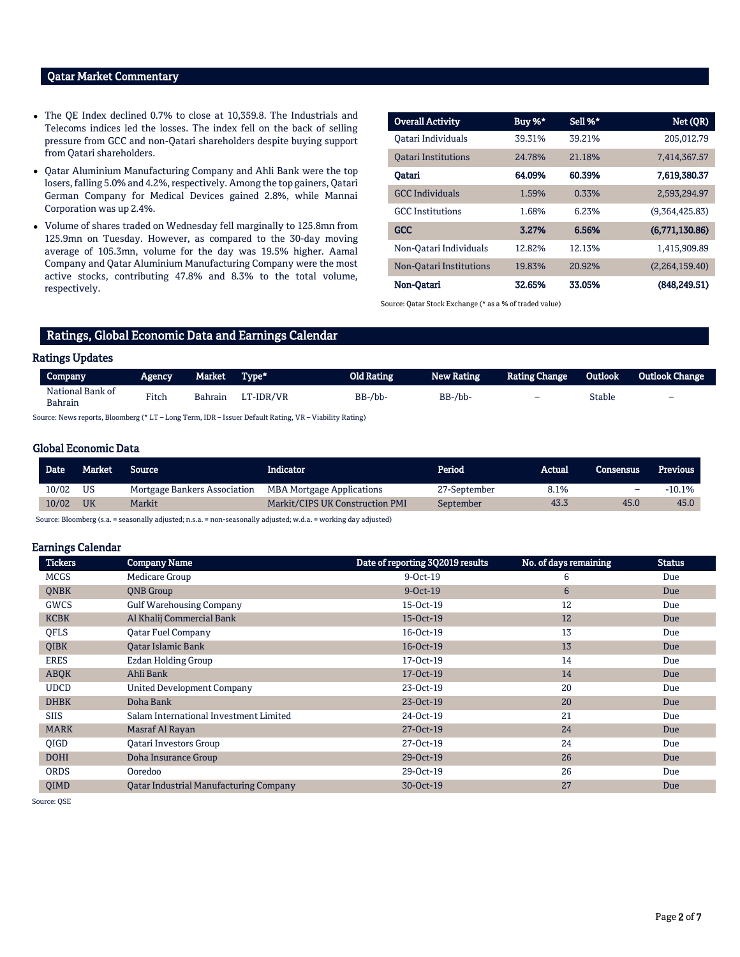# Qatar Market Commentary

- The QE Index declined 0.7% to close at 10,359.8. The Industrials and Telecoms indices led the losses. The index fell on the back of selling pressure from GCC and non-Qatari shareholders despite buying support from Qatari shareholders.
- Qatar Aluminium Manufacturing Company and Ahli Bank were the top losers, falling 5.0% and 4.2%, respectively. Among the top gainers, Qatari German Company for Medical Devices gained 2.8%, while Mannai Corporation was up 2.4%.
- Volume of shares traded on Wednesday fell marginally to 125.8mn from 125.9mn on Tuesday. However, as compared to the 30-day moving average of 105.3mn, volume for the day was 19.5% higher. Aamal Company and Qatar Aluminium Manufacturing Company were the most active stocks, contributing 47.8% and 8.3% to the total volume, respectively.

| <b>Overall Activity</b>    | Buy %* | Sell %* | Net (QR)       |
|----------------------------|--------|---------|----------------|
| Oatari Individuals         | 39.31% | 39.21%  | 205.012.79     |
| <b>Oatari Institutions</b> | 24.78% | 21.18%  | 7,414,367.57   |
| Oatari                     | 64.09% | 60.39%  | 7,619,380.37   |
| <b>GCC</b> Individuals     | 1.59%  | 0.33%   | 2,593,294.97   |
| <b>GCC</b> Institutions    | 1.68%  | 6.23%   | (9,364,425.83) |
| <b>GCC</b>                 | 3.27%  | 6.56%   | (6,771,130.86) |
| Non-Qatari Individuals     | 12.82% | 12.13%  | 1,415,909.89   |
| Non-Oatari Institutions    | 19.83% | 20.92%  | (2,264,159.40) |
| Non-Qatari                 | 32.65% | 33.05%  | (848, 249, 51) |

Source: Qatar Stock Exchange (\* as a % of traded value)

# Ratings, Global Economic Data and Earnings Calendar

# Ratings Updates

| Company                                                                                                | Agency | Market         | Type*     | Old Rating     | <b>New Rating</b> | <b>Rating Change</b>     | Outlook | Outlook Change           |
|--------------------------------------------------------------------------------------------------------|--------|----------------|-----------|----------------|-------------------|--------------------------|---------|--------------------------|
| National Bank of<br><b>Bahrain</b>                                                                     | Fitch  | <b>Bahrain</b> | LT-IDR/VR | $BB$ -/ $bb$ - | BB-/bb-           | $\overline{\phantom{0}}$ | Stable  | $\overline{\phantom{0}}$ |
| Source: News reports, Bloomberg (* LT – Long Term, IDR – Issuer Default Rating, VR – Viability Rating) |        |                |           |                |                   |                          |         |                          |

### Global Economic Data

| Date <sup>1</sup> | Market    | <b>Source</b>                | Indicator                        | 'Period      | Actual | <b>Consensus</b> | Previous |
|-------------------|-----------|------------------------------|----------------------------------|--------------|--------|------------------|----------|
| 10/02             | US        | Mortgage Bankers Association | <b>MBA Mortgage Applications</b> | 27-September | 8.1%   | -                | $-10.1%$ |
| 10/02             | <b>UK</b> | Markit                       | Markit/CIPS UK Construction PMI  | September    | 43.3   | 45.0             | 45.0     |

Source: Bloomberg (s.a. = seasonally adjusted; n.s.a. = non-seasonally adjusted; w.d.a. = working day adjusted)

#### Earnings Calendar

| <b>Company Name</b>                           | Date of reporting 3Q2019 results | No. of days remaining | <b>Status</b> |
|-----------------------------------------------|----------------------------------|-----------------------|---------------|
| Medicare Group                                | $9-Oct-19$                       | 6                     | Due           |
| <b>QNB</b> Group                              | $9-Oct-19$                       | $6\phantom{1}6$       | Due           |
| <b>Gulf Warehousing Company</b>               | 15-Oct-19                        | 12                    | Due           |
| Al Khalij Commercial Bank                     | 15-Oct-19                        | 12                    | Due           |
| <b>Qatar Fuel Company</b>                     | 16-Oct-19                        | 13                    | Due           |
| <b>Oatar Islamic Bank</b>                     | 16-Oct-19                        | 13                    | Due           |
| Ezdan Holding Group                           | 17-Oct-19                        | 14                    | Due           |
| Ahli Bank                                     | 17-Oct-19                        | 14                    | Due           |
| <b>United Development Company</b>             | 23-Oct-19                        | 20                    | Due           |
| Doha Bank                                     | 23-Oct-19                        | 20                    | Due           |
| Salam International Investment Limited        | 24-Oct-19                        | 21                    | Due           |
| Masraf Al Rayan                               | 27-Oct-19                        | 24                    | Due           |
| <b>Oatari Investors Group</b>                 | 27-Oct-19                        | 24                    | Due           |
| Doha Insurance Group                          | 29-Oct-19                        | 26                    | Due           |
| Ooredoo                                       | 29-Oct-19                        | 26                    | Due           |
| <b>Qatar Industrial Manufacturing Company</b> | 30-Oct-19                        | 27                    | Due           |
|                                               |                                  |                       |               |

Source: QSE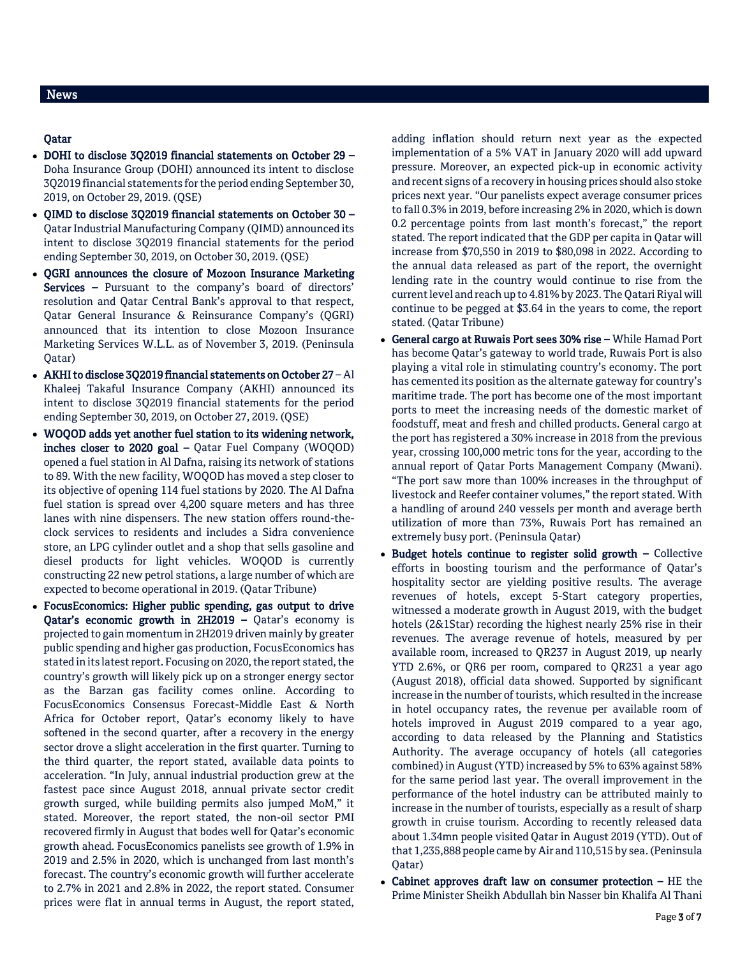# Qatar

- DOHI to disclose 3Q2019 financial statements on October 29 Doha Insurance Group (DOHI) announced its intent to disclose 3Q2019 financial statements for the period ending September 30, 2019, on October 29, 2019. (QSE)
- QIMD to disclose 3Q2019 financial statements on October 30 Qatar Industrial Manufacturing Company (QIMD) announced its intent to disclose 3Q2019 financial statements for the period ending September 30, 2019, on October 30, 2019. (QSE)
- QGRI announces the closure of Mozoon Insurance Marketing Services - Pursuant to the company's board of directors' resolution and Qatar Central Bank's approval to that respect, Qatar General Insurance & Reinsurance Company's (QGRI) announced that its intention to close Mozoon Insurance Marketing Services W.L.L. as of November 3, 2019. (Peninsula Qatar)
- AKHI to disclose 3Q2019 financial statements on October 27 Al Khaleej Takaful Insurance Company (AKHI) announced its intent to disclose 3Q2019 financial statements for the period ending September 30, 2019, on October 27, 2019. (QSE)
- WOQOD adds yet another fuel station to its widening network, inches closer to 2020 goal – Qatar Fuel Company (WOQOD) opened a fuel station in Al Dafna, raising its network of stations to 89. With the new facility, WOQOD has moved a step closer to its objective of opening 114 fuel stations by 2020. The Al Dafna fuel station is spread over 4,200 square meters and has three lanes with nine dispensers. The new station offers round-theclock services to residents and includes a Sidra convenience store, an LPG cylinder outlet and a shop that sells gasoline and diesel products for light vehicles. WOQOD is currently constructing 22 new petrol stations, a large number of which are expected to become operational in 2019. (Qatar Tribune)
- FocusEconomics: Higher public spending, gas output to drive Qatar's economic growth in 2H2019 – Qatar's economy is projected to gain momentum in 2H2019 driven mainly by greater public spending and higher gas production, FocusEconomics has stated in its latest report. Focusing on 2020, the report stated, the country's growth will likely pick up on a stronger energy sector as the Barzan gas facility comes online. According to FocusEconomics Consensus Forecast-Middle East & North Africa for October report, Qatar's economy likely to have softened in the second quarter, after a recovery in the energy sector drove a slight acceleration in the first quarter. Turning to the third quarter, the report stated, available data points to acceleration. "In July, annual industrial production grew at the fastest pace since August 2018, annual private sector credit growth surged, while building permits also jumped MoM," it stated. Moreover, the report stated, the non-oil sector PMI recovered firmly in August that bodes well for Qatar's economic growth ahead. FocusEconomics panelists see growth of 1.9% in 2019 and 2.5% in 2020, which is unchanged from last month's forecast. The country's economic growth will further accelerate to 2.7% in 2021 and 2.8% in 2022, the report stated. Consumer prices were flat in annual terms in August, the report stated,

adding inflation should return next year as the expected implementation of a 5% VAT in January 2020 will add upward pressure. Moreover, an expected pick-up in economic activity and recent signs of a recovery in housing prices should also stoke prices next year. "Our panelists expect average consumer prices to fall 0.3% in 2019, before increasing 2% in 2020, which is down 0.2 percentage points from last month's forecast," the report stated. The report indicated that the GDP per capita in Qatar will increase from \$70,550 in 2019 to \$80,098 in 2022. According to the annual data released as part of the report, the overnight lending rate in the country would continue to rise from the current level and reach up to 4.81% by 2023. The Qatari Riyal will continue to be pegged at \$3.64 in the years to come, the report stated. (Qatar Tribune)

- General cargo at Ruwais Port sees 30% rise While Hamad Port has become Qatar's gateway to world trade, Ruwais Port is also playing a vital role in stimulating country's economy. The port has cemented its position as the alternate gateway for country's maritime trade. The port has become one of the most important ports to meet the increasing needs of the domestic market of foodstuff, meat and fresh and chilled products. General cargo at the port has registered a 30% increase in 2018 from the previous year, crossing 100,000 metric tons for the year, according to the annual report of Qatar Ports Management Company (Mwani). "The port saw more than 100% increases in the throughput of livestock and Reefer container volumes," the report stated. With a handling of around 240 vessels per month and average berth utilization of more than 73%, Ruwais Port has remained an extremely busy port. (Peninsula Qatar)
- Budget hotels continue to register solid growth Collective efforts in boosting tourism and the performance of Qatar's hospitality sector are yielding positive results. The average revenues of hotels, except 5-Start category properties, witnessed a moderate growth in August 2019, with the budget hotels (2&1Star) recording the highest nearly 25% rise in their revenues. The average revenue of hotels, measured by per available room, increased to QR237 in August 2019, up nearly YTD 2.6%, or QR6 per room, compared to QR231 a year ago (August 2018), official data showed. Supported by significant increase in the number of tourists, which resulted in the increase in hotel occupancy rates, the revenue per available room of hotels improved in August 2019 compared to a year ago, according to data released by the Planning and Statistics Authority. The average occupancy of hotels (all categories combined) in August (YTD) increased by 5% to 63% against 58% for the same period last year. The overall improvement in the performance of the hotel industry can be attributed mainly to increase in the number of tourists, especially as a result of sharp growth in cruise tourism. According to recently released data about 1.34mn people visited Qatar in August 2019 (YTD). Out of that 1,235,888 people came by Air and 110,515 by sea. (Peninsula Qatar)
- Cabinet approves draft law on consumer protection HE the Prime Minister Sheikh Abdullah bin Nasser bin Khalifa Al Thani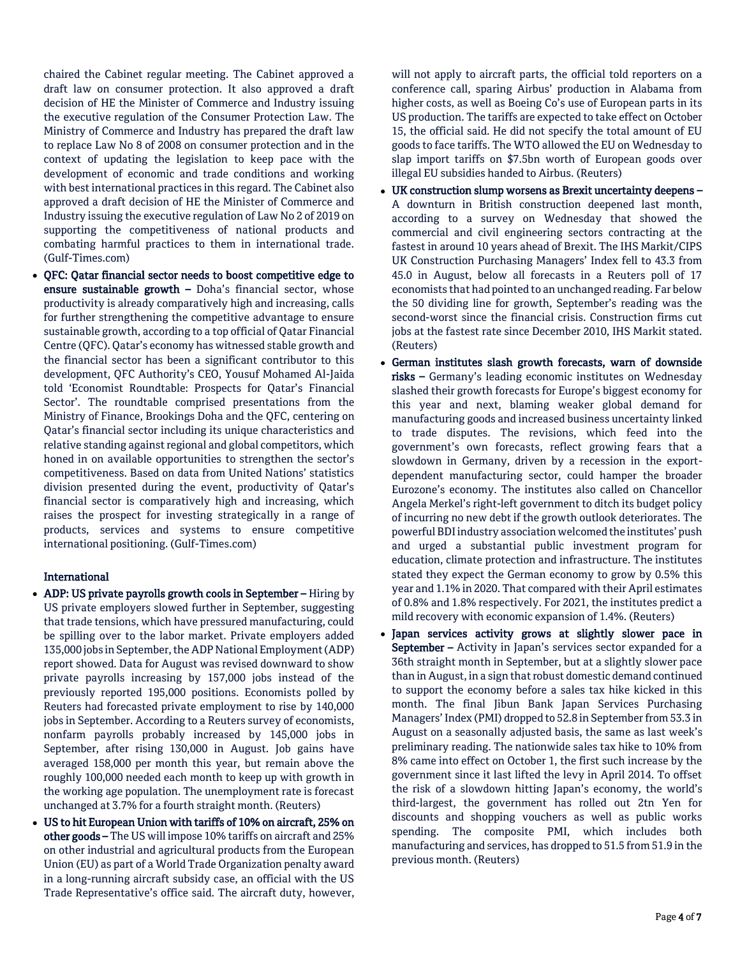chaired the Cabinet regular meeting. The Cabinet approved a draft law on consumer protection. It also approved a draft decision of HE the Minister of Commerce and Industry issuing the executive regulation of the Consumer Protection Law. The Ministry of Commerce and Industry has prepared the draft law to replace Law No 8 of 2008 on consumer protection and in the context of updating the legislation to keep pace with the development of economic and trade conditions and working with best international practices in this regard. The Cabinet also approved a draft decision of HE the Minister of Commerce and Industry issuing the executive regulation of Law No 2 of 2019 on supporting the competitiveness of national products and combating harmful practices to them in international trade. (Gulf-Times.com)

 QFC: Qatar financial sector needs to boost competitive edge to ensure sustainable growth – Doha's financial sector, whose productivity is already comparatively high and increasing, calls for further strengthening the competitive advantage to ensure sustainable growth, according to a top official of Qatar Financial Centre (QFC). Qatar's economy has witnessed stable growth and the financial sector has been a significant contributor to this development, QFC Authority's CEO, Yousuf Mohamed Al-Jaida told 'Economist Roundtable: Prospects for Qatar's Financial Sector'. The roundtable comprised presentations from the Ministry of Finance, Brookings Doha and the QFC, centering on Qatar's financial sector including its unique characteristics and relative standing against regional and global competitors, which honed in on available opportunities to strengthen the sector's competitiveness. Based on data from United Nations' statistics division presented during the event, productivity of Qatar's financial sector is comparatively high and increasing, which raises the prospect for investing strategically in a range of products, services and systems to ensure competitive international positioning. (Gulf-Times.com)

# International

- ADP: US private payrolls growth cools in September Hiring by US private employers slowed further in September, suggesting that trade tensions, which have pressured manufacturing, could be spilling over to the labor market. Private employers added 135,000 jobs in September, the ADP National Employment (ADP) report showed. Data for August was revised downward to show private payrolls increasing by 157,000 jobs instead of the previously reported 195,000 positions. Economists polled by Reuters had forecasted private employment to rise by 140,000 jobs in September. According to a Reuters survey of economists, nonfarm payrolls probably increased by 145,000 jobs in September, after rising 130,000 in August. Job gains have averaged 158,000 per month this year, but remain above the roughly 100,000 needed each month to keep up with growth in the working age population. The unemployment rate is forecast unchanged at 3.7% for a fourth straight month. (Reuters)
- US to hit European Union with tariffs of 10% on aircraft, 25% on other goods – The US will impose 10% tariffs on aircraft and 25% on other industrial and agricultural products from the European Union (EU) as part of a World Trade Organization penalty award in a long-running aircraft subsidy case, an official with the US Trade Representative's office said. The aircraft duty, however,

will not apply to aircraft parts, the official told reporters on a conference call, sparing Airbus' production in Alabama from higher costs, as well as Boeing Co's use of European parts in its US production. The tariffs are expected to take effect on October 15, the official said. He did not specify the total amount of EU goods to face tariffs. The WTO allowed the EU on Wednesday to slap import tariffs on \$7.5bn worth of European goods over illegal EU subsidies handed to Airbus. (Reuters)

- UK construction slump worsens as Brexit uncertainty deepens A downturn in British construction deepened last month, according to a survey on Wednesday that showed the commercial and civil engineering sectors contracting at the fastest in around 10 years ahead of Brexit. The IHS Markit/CIPS UK Construction Purchasing Managers' Index fell to 43.3 from 45.0 in August, below all forecasts in a Reuters poll of 17 economists that had pointed to an unchanged reading. Far below the 50 dividing line for growth, September's reading was the second-worst since the financial crisis. Construction firms cut jobs at the fastest rate since December 2010, IHS Markit stated. (Reuters)
- German institutes slash growth forecasts, warn of downside risks – Germany's leading economic institutes on Wednesday slashed their growth forecasts for Europe's biggest economy for this year and next, blaming weaker global demand for manufacturing goods and increased business uncertainty linked to trade disputes. The revisions, which feed into the government's own forecasts, reflect growing fears that a slowdown in Germany, driven by a recession in the exportdependent manufacturing sector, could hamper the broader Eurozone's economy. The institutes also called on Chancellor Angela Merkel's right-left government to ditch its budget policy of incurring no new debt if the growth outlook deteriorates. The powerful BDI industry association welcomed the institutes' push and urged a substantial public investment program for education, climate protection and infrastructure. The institutes stated they expect the German economy to grow by 0.5% this year and 1.1% in 2020. That compared with their April estimates of 0.8% and 1.8% respectively. For 2021, the institutes predict a mild recovery with economic expansion of 1.4%. (Reuters)
- Japan services activity grows at slightly slower pace in September – Activity in Japan's services sector expanded for a 36th straight month in September, but at a slightly slower pace than in August, in a sign that robust domestic demand continued to support the economy before a sales tax hike kicked in this month. The final Jibun Bank Japan Services Purchasing Managers' Index (PMI) dropped to 52.8 in September from 53.3 in August on a seasonally adjusted basis, the same as last week's preliminary reading. The nationwide sales tax hike to 10% from 8% came into effect on October 1, the first such increase by the government since it last lifted the levy in April 2014. To offset the risk of a slowdown hitting Japan's economy, the world's third-largest, the government has rolled out 2tn Yen for discounts and shopping vouchers as well as public works spending. The composite PMI, which includes both manufacturing and services, has dropped to 51.5 from 51.9 in the previous month. (Reuters)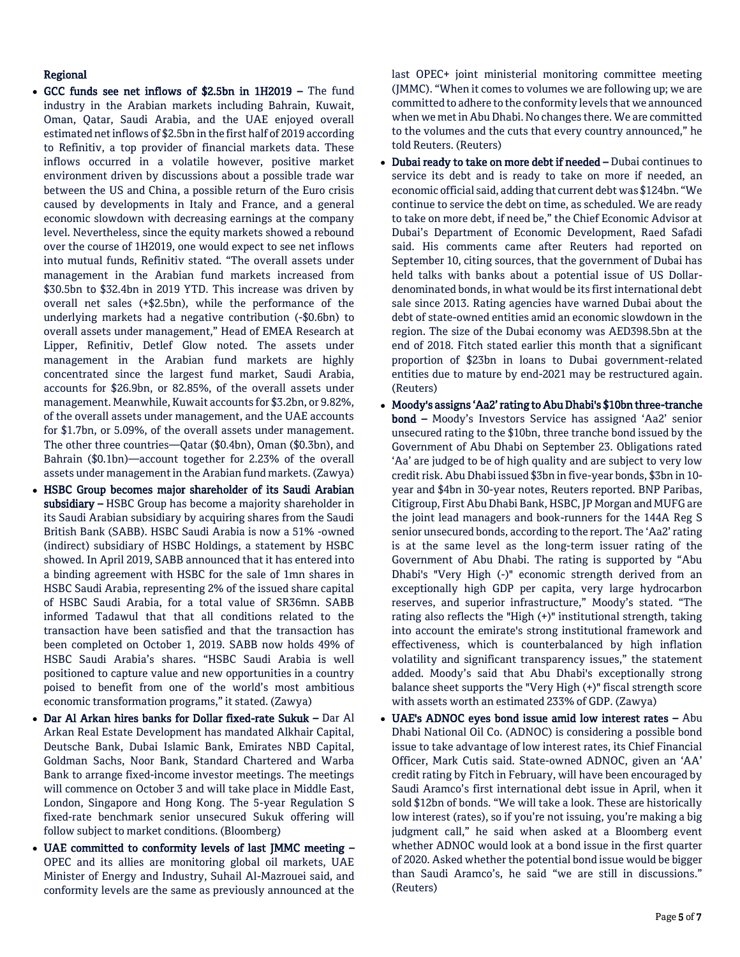# Regional

- GCC funds see net inflows of \$2.5bn in 1H2019 The fund industry in the Arabian markets including Bahrain, Kuwait, Oman, Qatar, Saudi Arabia, and the UAE enjoyed overall estimated net inflows of \$2.5bn in the first half of 2019 according to Refinitiv, a top provider of financial markets data. These inflows occurred in a volatile however, positive market environment driven by discussions about a possible trade war between the US and China, a possible return of the Euro crisis caused by developments in Italy and France, and a general economic slowdown with decreasing earnings at the company level. Nevertheless, since the equity markets showed a rebound over the course of 1H2019, one would expect to see net inflows into mutual funds, Refinitiv stated. "The overall assets under management in the Arabian fund markets increased from \$30.5bn to \$32.4bn in 2019 YTD. This increase was driven by overall net sales (+\$2.5bn), while the performance of the underlying markets had a negative contribution (-\$0.6bn) to overall assets under management," Head of EMEA Research at Lipper, Refinitiv, Detlef Glow noted. The assets under management in the Arabian fund markets are highly concentrated since the largest fund market, Saudi Arabia, accounts for \$26.9bn, or 82.85%, of the overall assets under management. Meanwhile, Kuwait accounts for \$3.2bn, or 9.82%, of the overall assets under management, and the UAE accounts for \$1.7bn, or 5.09%, of the overall assets under management. The other three countries—Qatar (\$0.4bn), Oman (\$0.3bn), and Bahrain (\$0.1bn)—account together for 2.23% of the overall assets under management in the Arabian fund markets. (Zawya)
- HSBC Group becomes major shareholder of its Saudi Arabian subsidiary – HSBC Group has become a majority shareholder in its Saudi Arabian subsidiary by acquiring shares from the Saudi British Bank (SABB). HSBC Saudi Arabia is now a 51% -owned (indirect) subsidiary of HSBC Holdings, a statement by HSBC showed. In April 2019, SABB announced that it has entered into a binding agreement with HSBC for the sale of 1mn shares in HSBC Saudi Arabia, representing 2% of the issued share capital of HSBC Saudi Arabia, for a total value of SR36mn. SABB informed Tadawul that that all conditions related to the transaction have been satisfied and that the transaction has been completed on October 1, 2019. SABB now holds 49% of HSBC Saudi Arabia's shares. "HSBC Saudi Arabia is well positioned to capture value and new opportunities in a country poised to benefit from one of the world's most ambitious economic transformation programs," it stated. (Zawya)
- Dar Al Arkan hires banks for Dollar fixed-rate Sukuk Dar Al Arkan Real Estate Development has mandated Alkhair Capital, Deutsche Bank, Dubai Islamic Bank, Emirates NBD Capital, Goldman Sachs, Noor Bank, Standard Chartered and Warba Bank to arrange fixed-income investor meetings. The meetings will commence on October 3 and will take place in Middle East, London, Singapore and Hong Kong. The 5-year Regulation S fixed-rate benchmark senior unsecured Sukuk offering will follow subject to market conditions. (Bloomberg)
- UAE committed to conformity levels of last JMMC meeting OPEC and its allies are monitoring global oil markets, UAE Minister of Energy and Industry, Suhail Al-Mazrouei said, and conformity levels are the same as previously announced at the

last OPEC+ joint ministerial monitoring committee meeting (JMMC). "When it comes to volumes we are following up; we are committed to adhere to the conformity levels that we announced when we met in Abu Dhabi. No changes there. We are committed to the volumes and the cuts that every country announced," he told Reuters. (Reuters)

- Dubai ready to take on more debt if needed Dubai continues to service its debt and is ready to take on more if needed, an economic official said, adding that current debt was \$124bn. "We continue to service the debt on time, as scheduled. We are ready to take on more debt, if need be," the Chief Economic Advisor at Dubai's Department of Economic Development, Raed Safadi said. His comments came after Reuters had reported on September 10, citing sources, that the government of Dubai has held talks with banks about a potential issue of US Dollardenominated bonds, in what would be its first international debt sale since 2013. Rating agencies have warned Dubai about the debt of state-owned entities amid an economic slowdown in the region. The size of the Dubai economy was AED398.5bn at the end of 2018. Fitch stated earlier this month that a significant proportion of \$23bn in loans to Dubai government-related entities due to mature by end-2021 may be restructured again. (Reuters)
- Moody's assigns 'Aa2' rating to Abu Dhabi's \$10bn three-tranche bond – Moody's Investors Service has assigned 'Aa2' senior unsecured rating to the \$10bn, three tranche bond issued by the Government of Abu Dhabi on September 23. Obligations rated 'Aa' are judged to be of high quality and are subject to very low credit risk. Abu Dhabi issued \$3bn in five-year bonds, \$3bn in 10 year and \$4bn in 30-year notes, Reuters reported. BNP Paribas, Citigroup, First Abu Dhabi Bank, HSBC, JP Morgan and MUFG are the joint lead managers and book-runners for the 144A Reg S senior unsecured bonds, according to the report. The 'Aa2' rating is at the same level as the long-term issuer rating of the Government of Abu Dhabi. The rating is supported by "Abu Dhabi's "Very High (-)" economic strength derived from an exceptionally high GDP per capita, very large hydrocarbon reserves, and superior infrastructure," Moody's stated. "The rating also reflects the "High (+)" institutional strength, taking into account the emirate's strong institutional framework and effectiveness, which is counterbalanced by high inflation volatility and significant transparency issues," the statement added. Moody's said that Abu Dhabi's exceptionally strong balance sheet supports the "Very High (+)" fiscal strength score with assets worth an estimated 233% of GDP. (Zawya)
- UAE's ADNOC eyes bond issue amid low interest rates Abu Dhabi National Oil Co. (ADNOC) is considering a possible bond issue to take advantage of low interest rates, its Chief Financial Officer, Mark Cutis said. State-owned ADNOC, given an 'AA' credit rating by Fitch in February, will have been encouraged by Saudi Aramco's first international debt issue in April, when it sold \$12bn of bonds. "We will take a look. These are historically low interest (rates), so if you're not issuing, you're making a big judgment call," he said when asked at a Bloomberg event whether ADNOC would look at a bond issue in the first quarter of 2020. Asked whether the potential bond issue would be bigger than Saudi Aramco's, he said "we are still in discussions." (Reuters)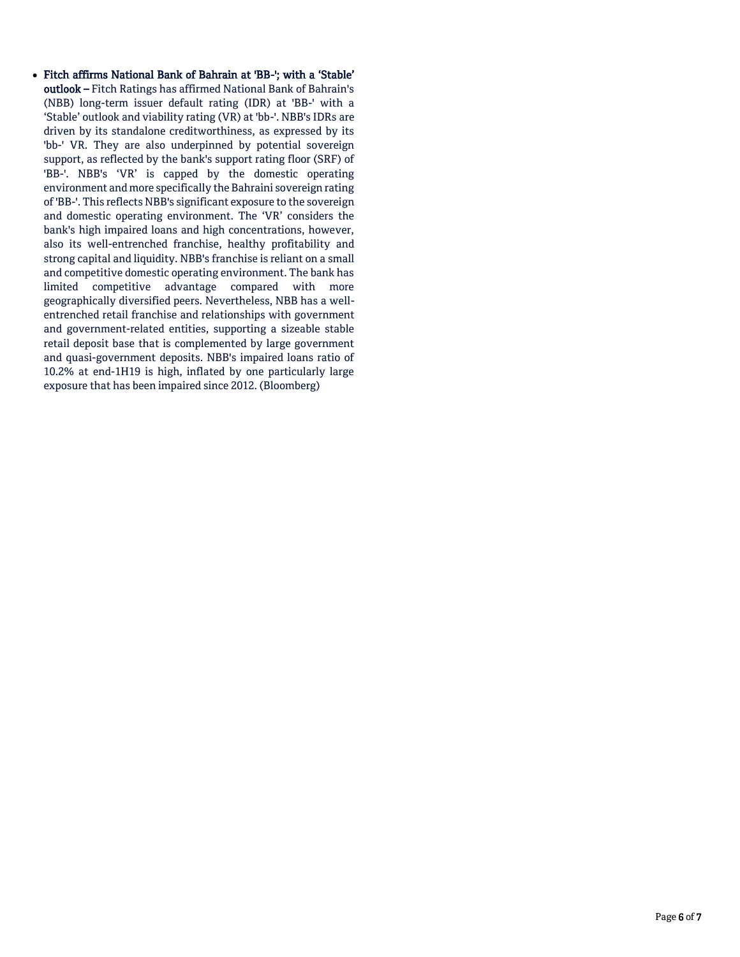Fitch affirms National Bank of Bahrain at 'BB-'; with a 'Stable' outlook – Fitch Ratings has affirmed National Bank of Bahrain's (NBB) long-term issuer default rating (IDR) at 'BB-' with a 'Stable' outlook and viability rating (VR) at 'bb-'. NBB's IDRs are driven by its standalone creditworthiness, as expressed by its 'bb-' VR. They are also underpinned by potential sovereign support, as reflected by the bank's support rating floor (SRF) of 'BB-'. NBB's 'VR' is capped by the domestic operating environment and more specifically the Bahraini sovereign rating of 'BB-'. This reflects NBB's significant exposure to the sovereign and domestic operating environment. The 'VR' considers the bank's high impaired loans and high concentrations, however, also its well-entrenched franchise, healthy profitability and strong capital and liquidity. NBB's franchise is reliant on a small and competitive domestic operating environment. The bank has limited competitive advantage compared with more geographically diversified peers. Nevertheless, NBB has a wellentrenched retail franchise and relationships with government and government-related entities, supporting a sizeable stable retail deposit base that is complemented by large government and quasi-government deposits. NBB's impaired loans ratio of 10.2% at end-1H19 is high, inflated by one particularly large exposure that has been impaired since 2012. (Bloomberg)